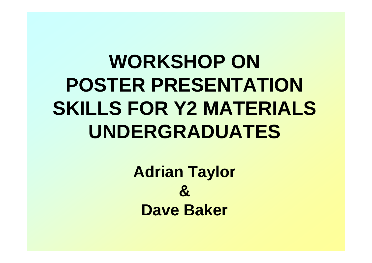# **WORKSHOP ON POSTER PRESENTATION SKILLS FOR Y2 MATERIALS UNDERGRADUATES**

**Adrian Taylor & Dave Baker**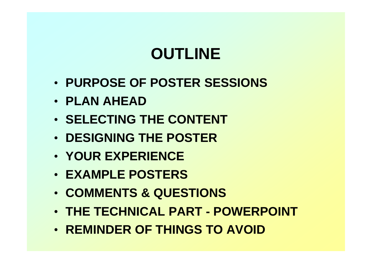# **OUTLINE**

- **PURPOSE OF POSTER SESSIONS**
- **PLAN AHEAD**
- **SELECTING THE CONTENT**
- **DESIGNING THE POSTER**
- **YOUR EXPERIENCE**
- **EXAMPLE POSTERS**
- **COMMENTS & QUESTIONS**
- **THE TECHNICAL PART POWERPOINT**
- **REMINDER OF THINGS TO AVOID**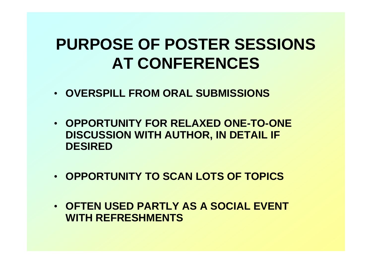### **PURPOSE OF POSTER SESSIONS AT CONFERENCES**

- **OVERSPILL FROM ORAL SUBMISSIONS**
- **OPPORTUNITY FOR RELAXED ONE-TO-ONE DISCUSSION WITH AUTHOR, IN DETAIL IF DESIRED**
- **OPPORTUNITY TO SCAN LOTS OF TOPICS**
- **OFTEN USED PARTLY AS A SOCIAL EVENT WITH REFRESHMENTS**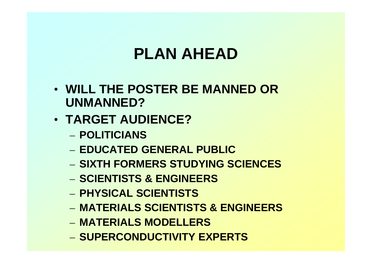# **PLAN AHEAD**

- **WILL THE POSTER BE MANNED OR UNMANNED?**
- **TARGET AUDIENCE?**
	- **POLITICIANS**
	- **EDUCATED GENERAL PUBLIC**
	- **SIXTH FORMERS STUDYING SCIENCES**
	- **SCIENTISTS & ENGINEERS**
	- **PHYSICAL SCIENTISTS**
	- **MATERIALS SCIENTISTS & ENGINEERS**
	- **MATERIALS MODELLERS**
	- **SUPERCONDUCTIVITY EXPERTS**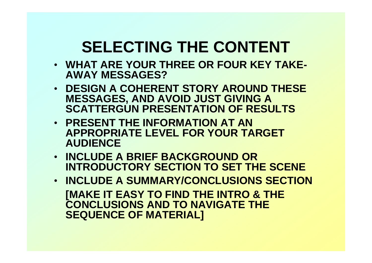### **SELECTING THE CONTENT**

- **WHAT ARE YOUR THREE OR FOUR KEY TAKE-AWAY MESSAGES?**
- **DESIGN A COHERENT STORY AROUND THESE MESSAGES, AND AVOID JUST GIVING A SCATTERGUN PRESENTATION OF RESULTS**
- **PRESENT THE INFORMATION AT AN APPROPRIATE LEVEL FOR YOUR TARGET AUDIENCE**
- **INCLUDE A BRIEF BACKGROUND OR INTRODUCTORY SECTION TO SET THE SCENE**
- **INCLUDE A SUMMARY/CONCLUSIONS SECTION [MAKE IT EASY TO FIND THE INTRO & THE CONCLUSIONS AND TO NAVIGATE THE SEQUENCE OF MATERIAL]**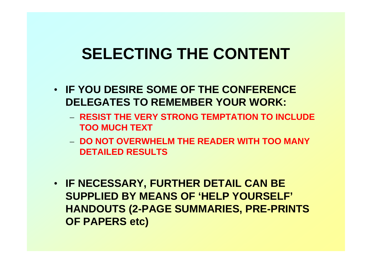### **SELECTING THE CONTENT**

- **IF YOU DESIRE SOME OF THE CONFERENCE DELEGATES TO REMEMBER YOUR WORK:**
	- **RESIST THE VERY STRONG TEMPTATION TO INCLUDE TOO MUCH TEXT**
	- **DO NOT OVERWHELM THE READER WITH TOO MANY DETAILED RESULTS**
- **IF NECESSARY, FURTHER DETAIL CAN BE SUPPLIED BY MEANS OF 'HELP YOURSELF' HANDOUTS (2-PAGE SUMMARIES, PRE-PRINTS OF PAPERS etc)**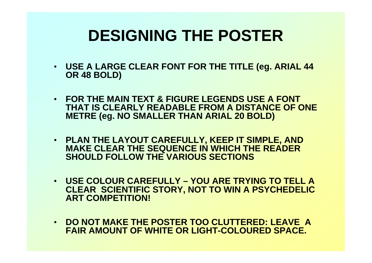# **DESIGNING THE POSTER**

- **USE A LARGE CLEAR FONT FOR THE TITLE (eg. ARIAL 44 OR 48 BOLD)**
- **FOR THE MAIN TEXT & FIGURE LEGENDS USE A FONT THAT IS CLEARLY READABLE FROM A DISTANCE OF ONE METRE (eg. NO SMALLER THAN ARIAL 20 BOLD)**
- **PLAN THE LAYOUT CAREFULLY, KEEP IT SIMPLE, AND MAKE CLEAR THE SEQUENCE IN WHICH THE READER SHOULD FOLLOW THE VARIOUS SECTIONS**
- **USE COLOUR CAREFULLY YOU ARE TRYING TO TELL A CLEAR SCIENTIFIC STORY, NOT TO WIN A PSYCHEDELIC ART COMPETITION!**
- **DO NOT MAKE THE POSTER TOO CLUTTERED: LEAVE A FAIR AMOUNT OF WHITE OR LIGHT-COLOURED SPACE.**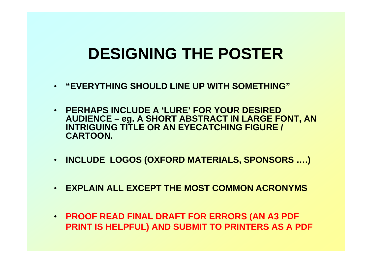### **DESIGNING THE POSTER**

- **"EVERYTHING SHOULD LINE UP WITH SOMETHING"**
- **PERHAPS INCLUDE A 'LURE' FOR YOUR DESIRED AUDIENCE – eg. A SHORT ABSTRACT IN LARGE FONT, AN INTRIGUING TITLE OR AN EYECATCHING FIGURE / CARTOON.**
- **INCLUDE LOGOS (OXFORD MATERIALS, SPONSORS ….)**
- **EXPLAIN ALL EXCEPT THE MOST COMMON ACRONYMS**
- **PROOF READ FINAL DRAFT FOR ERRORS (AN A3 PDF PRINT IS HELPFUL) AND SUBMIT TO PRINTERS AS A PDF**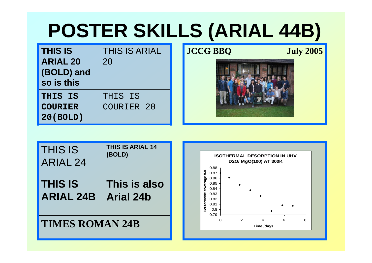# **POSTER SKILLS (ARIAL 44B)**

| <b>THIS IS</b><br><b>ARIAL 20</b><br>(BOLD) and<br>so is this | <b>THIS IS ARIAL</b><br>20 |
|---------------------------------------------------------------|----------------------------|
| THIS IS                                                       | THIS IS                    |
| <b>COURIER</b>                                                | COURIER <sub>20</sub>      |
| 20(BOLD)                                                      |                            |

**JCCG BBQ July 2005**



| <b>THIS IS</b>         | <b>THIS IS ARIAL 14</b> |
|------------------------|-------------------------|
| <b>ARIAL 24</b>        | (BOLD)                  |
| <b>THIS IS</b>         | This is also            |
| <b>ARIAL 24B</b>       | <b>Arial 24b</b>        |
| <b>TIMES ROMAN 24B</b> |                         |

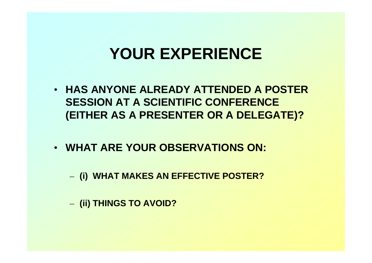### **YOUR EXPERIENCE**

- **HAS ANYONE ALREADY ATTENDED A POSTER SESSION AT A SCIENTIFIC CONFERENCE (EITHER AS A PRESENTER OR A DELEGATE)?**
- **WHAT ARE YOUR OBSERVATIONS ON:**
	- **(i) WHAT MAKES AN EFFECTIVE POSTER?**
	- **(ii) THINGS TO AVOID?**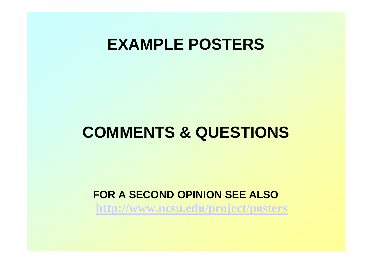### **EXAMPLE POSTERS**

### **COMMENTS & QUESTIONS**

#### **FOR A SECOND OPINION SEE ALSO http://www.ncsu.edu/project/posters**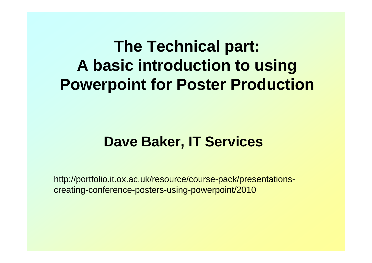# **The Technical part: A basic introduction to using Powerpoint for Poster Production**

#### **Dave Baker, IT Services**

http://portfolio.it.ox.ac.uk/resource/course-pack/presentationscreating-conference-posters-using-powerpoint/2010